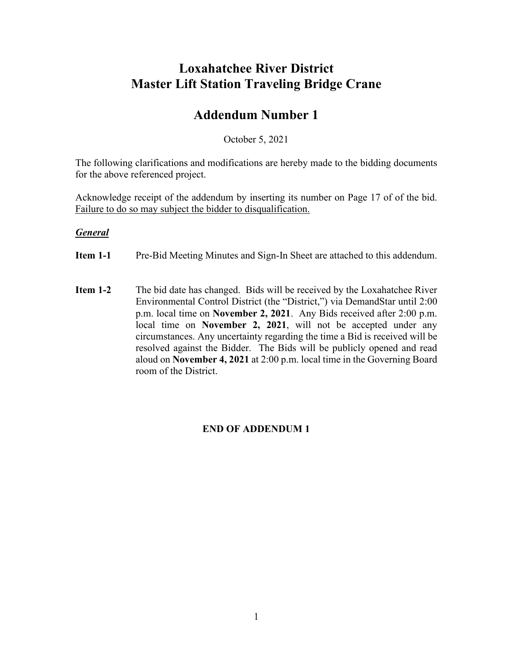### **Loxahatchee River District Master Lift Station Traveling Bridge Crane**

### **Addendum Number 1**

October 5, 2021

The following clarifications and modifications are hereby made to the bidding documents for the above referenced project.

Acknowledge receipt of the addendum by inserting its number on Page 17 of of the bid. Failure to do so may subject the bidder to disqualification.

#### *General*

- **Item 1-1** Pre-Bid Meeting Minutes and Sign-In Sheet are attached to this addendum.
- **Item 1-2** The bid date has changed. Bids will be received by the Loxahatchee River Environmental Control District (the "District,") via DemandStar until 2:00 p.m. local time on **November 2, 2021**. Any Bids received after 2:00 p.m. local time on **November 2, 2021**, will not be accepted under any circumstances. Any uncertainty regarding the time a Bid is received will be resolved against the Bidder. The Bids will be publicly opened and read aloud on **November 4, 2021** at 2:00 p.m. local time in the Governing Board room of the District.

### **END OF ADDENDUM 1**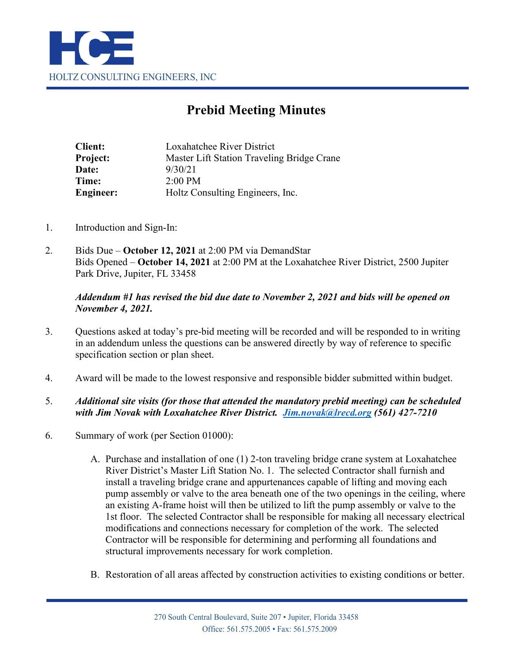

## **Prebid Meeting Minutes**

| Loxahatchee River District                 |  |  |
|--------------------------------------------|--|--|
| Master Lift Station Traveling Bridge Crane |  |  |
| 9/30/21                                    |  |  |
| $2:00 \text{ PM}$                          |  |  |
| Holtz Consulting Engineers, Inc.           |  |  |
|                                            |  |  |

- 1. Introduction and Sign-In:
- 2. Bids Due **October 12, 2021** at 2:00 PM via DemandStar Bids Opened – **October 14, 2021** at 2:00 PM at the Loxahatchee River District, 2500 Jupiter Park Drive, Jupiter, FL 33458

#### *Addendum #1 has revised the bid due date to November 2, 2021 and bids will be opened on November 4, 2021.*

- 3. Questions asked at today's pre-bid meeting will be recorded and will be responded to in writing in an addendum unless the questions can be answered directly by way of reference to specific specification section or plan sheet.
- 4. Award will be made to the lowest responsive and responsible bidder submitted within budget.

### 5. *Additional site visits (for those that attended the mandatory prebid meeting) can be scheduled with Jim Novak with Loxahatchee River District. [Jim.novak@lrecd.org](mailto:Jim.novak@lrecd.org) (561) 427-7210*

- 6. Summary of work (per Section 01000):
	- A. Purchase and installation of one (1) 2-ton traveling bridge crane system at Loxahatchee River District's Master Lift Station No. 1. The selected Contractor shall furnish and install a traveling bridge crane and appurtenances capable of lifting and moving each pump assembly or valve to the area beneath one of the two openings in the ceiling, where an existing A-frame hoist will then be utilized to lift the pump assembly or valve to the 1st floor. The selected Contractor shall be responsible for making all necessary electrical modifications and connections necessary for completion of the work. The selected Contractor will be responsible for determining and performing all foundations and structural improvements necessary for work completion.
	- B. Restoration of all areas affected by construction activities to existing conditions or better.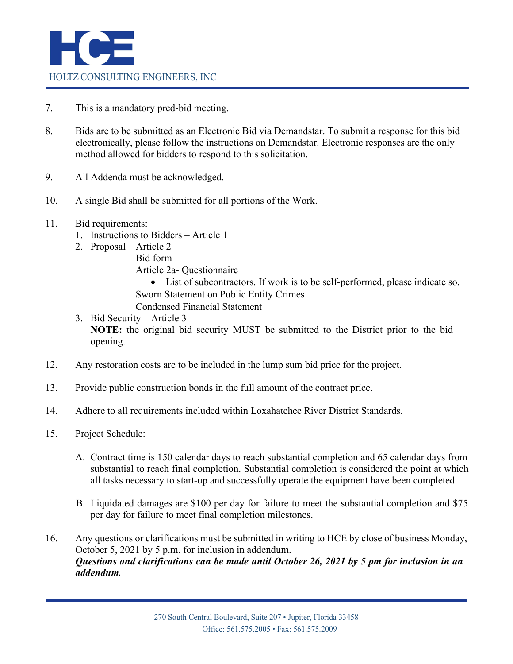

- 7. This is a mandatory pred-bid meeting.
- 8. Bids are to be submitted as an Electronic Bid via Demandstar. To submit a response for this bid electronically, please follow the instructions on Demandstar. Electronic responses are the only method allowed for bidders to respond to this solicitation.
- 9. All Addenda must be acknowledged.
- 10. A single Bid shall be submitted for all portions of the Work.
- 11. Bid requirements:
	- 1. Instructions to Bidders Article 1
	- 2. Proposal Article 2
		- Bid form

Article 2a- Questionnaire

• List of subcontractors. If work is to be self-performed, please indicate so. Sworn Statement on Public Entity Crimes

- Condensed Financial Statement
- 3. Bid Security Article 3 **NOTE:** the original bid security MUST be submitted to the District prior to the bid opening.
- 12. Any restoration costs are to be included in the lump sum bid price for the project.
- 13. Provide public construction bonds in the full amount of the contract price.
- 14. Adhere to all requirements included within Loxahatchee River District Standards.
- 15. Project Schedule:
	- A. Contract time is 150 calendar days to reach substantial completion and 65 calendar days from substantial to reach final completion. Substantial completion is considered the point at which all tasks necessary to start-up and successfully operate the equipment have been completed.
	- B. Liquidated damages are \$100 per day for failure to meet the substantial completion and \$75 per day for failure to meet final completion milestones.
- 16. Any questions or clarifications must be submitted in writing to HCE by close of business Monday, October 5, 2021 by 5 p.m. for inclusion in addendum. *Questions and clarifications can be made until October 26, 2021 by 5 pm for inclusion in an addendum.*